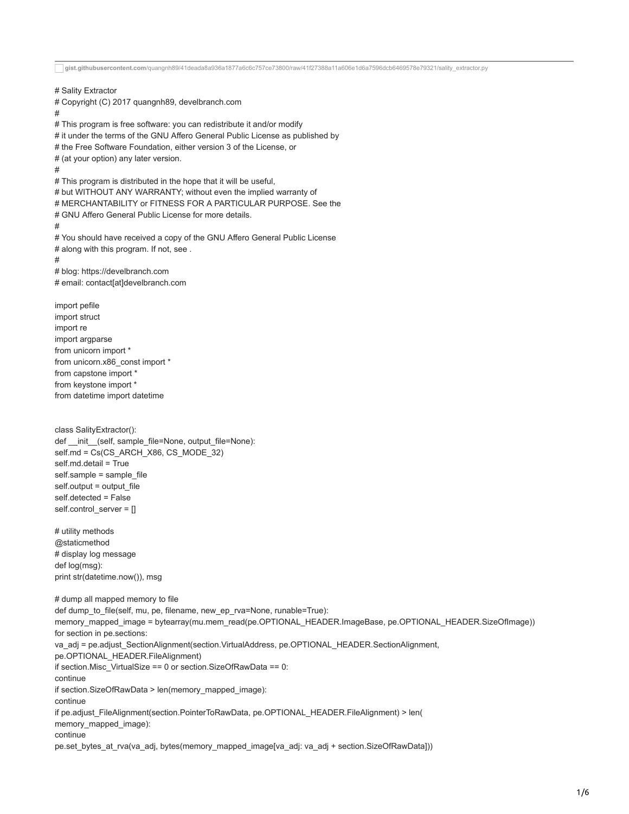**gist.githubusercontent.com**[/quangnh89/41deada8a936a1877a6c6c757ce73800/raw/41f27388a11a606e1d6a7596dcb6469578e79321/sality\\_extractor.py](https://gist.githubusercontent.com/quangnh89/41deada8a936a1877a6c6c757ce73800/raw/41f27388a11a606e1d6a7596dcb6469578e79321/sality_extractor.py) # Sality Extractor # Copyright (C) 2017 quangnh89, develbranch.com # # This program is free software: you can redistribute it and/or modify # it under the terms of the GNU Affero General Public License as published by # the Free Software Foundation, either version 3 of the License, or # (at your option) any later version. # # This program is distributed in the hope that it will be useful, # but WITHOUT ANY WARRANTY; without even the implied warranty of # MERCHANTABILITY or FITNESS FOR A PARTICULAR PURPOSE. See the # GNU Affero General Public License for more details. # # You should have received a copy of the GNU Affero General Public License # along with this program. If not, see. # # blog: https://develbranch.com # email: contact[at]develbranch.com import pefile import struct import re import argparse from unicorn import \* from unicorn.x86\_const import \* from capstone import \* from keystone import \* from datetime import datetime class SalityExtractor(): def \_\_init\_\_(self, sample\_file=None, output\_file=None): self.md = Cs(CS\_ARCH\_X86, CS\_MODE\_32) self.md.detail = True self.sample = sample\_file self.output = output\_file self.detected = False self.control\_server = [] # utility methods @staticmethod # display log message def log(msg): print str(datetime.now()), msg # dump all mapped memory to file def dump\_to\_file(self, mu, pe, filename, new\_ep\_rva=None, runable=True): memory\_mapped\_image = bytearray(mu.mem\_read(pe.OPTIONAL\_HEADER.ImageBase, pe.OPTIONAL\_HEADER.SizeOfImage)) for section in pe.sections: va\_adj = pe.adjust\_SectionAlignment(section.VirtualAddress, pe.OPTIONAL\_HEADER.SectionAlignment, pe.OPTIONAL\_HEADER.FileAlignment) if section.Misc\_VirtualSize == 0 or section.SizeOfRawData == 0: continue if section.SizeOfRawData > len(memory\_mapped\_image): continue if pe.adjust\_FileAlignment(section.PointerToRawData, pe.OPTIONAL\_HEADER.FileAlignment) > len( memory\_mapped\_image): continue pe.set\_bytes\_at\_rva(va\_adj, bytes(memory\_mapped\_image[va\_adj: va\_adj + section.SizeOfRawData]))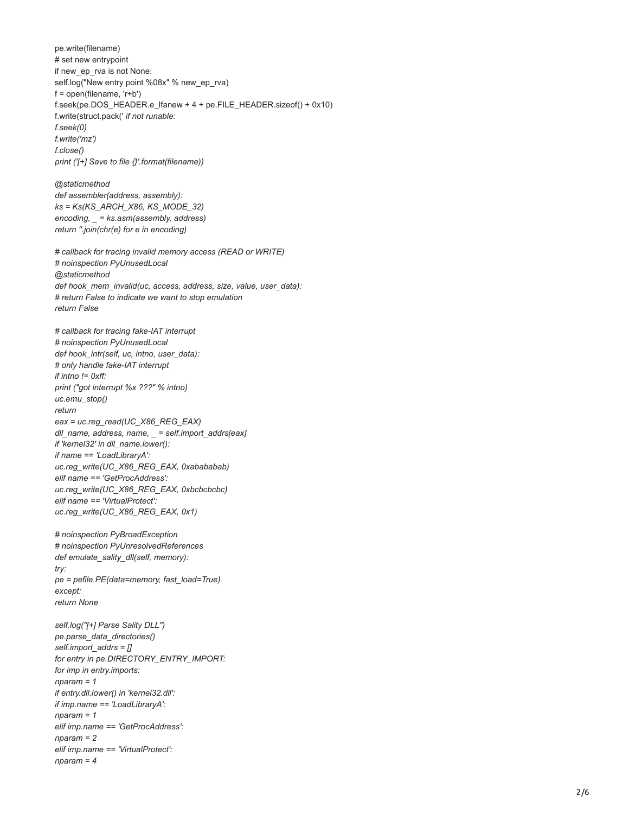pe.write(filename) # set new entrypoint if new\_ep\_rva is not None: self.log("New entry point %08x" % new\_ep\_rva) f = open(filename, 'r+b') f.seek(pe.DOS\_HEADER.e\_lfanew + 4 + pe.FILE\_HEADER.sizeof() + 0x10) f.write(struct.pack(' *if not runable: f.seek(0) f.write('mz') f.close() print ('[+] Save to file {}'.format(filename))*

*@staticmethod def assembler(address, assembly): ks = Ks(KS\_ARCH\_X86, KS\_MODE\_32) encoding, \_ = ks.asm(assembly, address) return ''.join(chr(e) for e in encoding)*

*# callback for tracing invalid memory access (READ or WRITE) # noinspection PyUnusedLocal @staticmethod def hook\_mem\_invalid(uc, access, address, size, value, user\_data): # return False to indicate we want to stop emulation return False*

*# callback for tracing fake-IAT interrupt # noinspection PyUnusedLocal def hook\_intr(self, uc, intno, user\_data): # only handle fake-IAT interrupt if intno != 0xff: print ("got interrupt %x ???" % intno) uc.emu\_stop() return eax = uc.reg\_read(UC\_X86\_REG\_EAX) dll\_name, address, name, \_ = self.import\_addrs[eax] if 'kernel32' in dll\_name.lower(): if name == 'LoadLibraryA': uc.reg\_write(UC\_X86\_REG\_EAX, 0xabababab) elif name == 'GetProcAddress': uc.reg\_write(UC\_X86\_REG\_EAX, 0xbcbcbcbc) elif name == 'VirtualProtect': uc.reg\_write(UC\_X86\_REG\_EAX, 0x1)*

*# noinspection PyBroadException # noinspection PyUnresolvedReferences def emulate\_sality\_dll(self, memory): try: pe = pefile.PE(data=memory, fast\_load=True) except: return None*

```
self.log("[+] Parse Sality DLL")
pe.parse_data_directories()
self.import_addrs = []
for entry in pe.DIRECTORY_ENTRY_IMPOR
T:
for imp in entry.imports:
nparam = 1
if entry.dll.lower() in 'kernel32.dll':
if imp.name == 'LoadLibraryA':
nparam = 1
elif imp.name == 'GetProcAddress':
nparam = 2
elif imp.name == 'VirtualProtect':
nparam = 4
```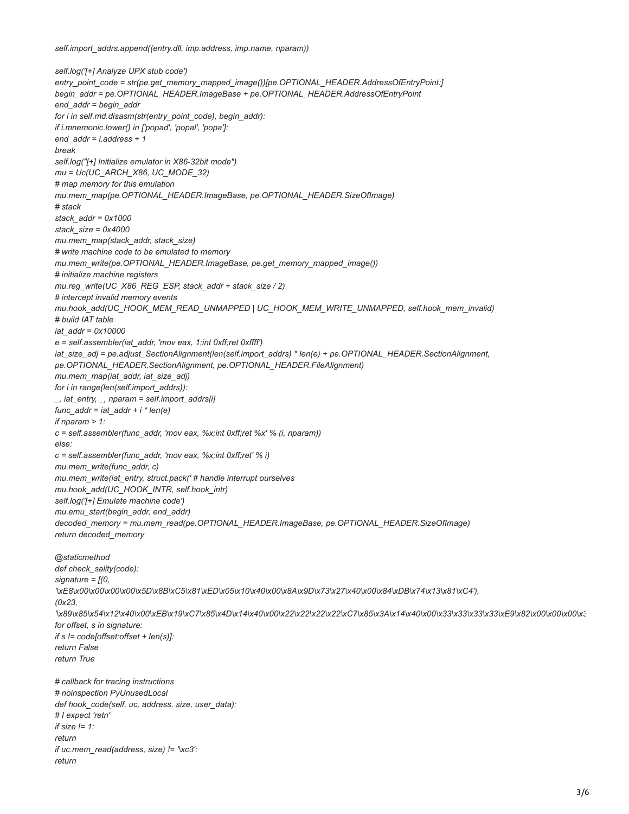*self.import\_addrs.append((entry.dll, imp.address, imp.name, nparam))*

*return*

*self.log('[+] Analyze UPX stub code') entry\_point\_code = str(pe.get\_memory\_mapped\_image())[pe.OPTIONAL\_HEADER.AddressOfEntryPoint:] begin\_addr = pe.OPTIONAL\_HEADER.ImageBase + pe.OPTIONAL\_HEADER.AddressOfEntryPoint end\_addr = begin\_addr for i in self.md.disasm(str(entry\_point\_code), begin\_addr): if i.mnemonic.lower() in ['popad', 'popal', 'popa']: end\_addr = i.address + 1 break self.log("[+] Initialize emulator in X86-32bit mode") mu = Uc(UC\_ARCH\_X86, UC\_MODE\_32) # map memory for this emulation mu.mem\_map(pe.OPTIONAL\_HEADER.ImageBase, pe.OPTIONAL\_HEADER.SizeOfImage) # stack stack\_addr = 0x1000 stack\_size = 0x4000 mu.mem\_map(stack\_addr, stack\_size) # write machine code to be emulated to memory mu.mem\_write(pe.OPTIONAL\_HEADER.ImageBase, pe.get\_memory\_mapped\_image()) # initialize machine registers mu.reg\_write(UC\_X86\_REG\_ESP, stack\_addr + stack\_size / 2) # intercept invalid memory events mu.hook\_add(UC\_HOOK\_MEM\_READ\_UNMAPPED | UC\_HOOK\_MEM\_WRITE\_UNMAPPED, self.hook\_mem\_invalid) # build IAT table iat\_addr = 0x10000 e = self.assembler(iat\_addr, 'mov eax, 1;int 0xff;ret 0xffff') iat\_size\_adj = pe.adjust\_SectionAlignment(len(self.import\_addrs) \* len(e) + pe.OPTIONAL\_HEADER.SectionAlignment, pe.OPTIONAL\_HEADER.SectionAlignment, pe.OPTIONAL\_HEADER.FileAlignment) mu.mem\_map(iat\_addr, iat\_size\_adj) for i in range(len(self.import\_addrs)): \_, iat\_entry, \_, nparam = self.import\_addrs[i] func\_addr = iat\_addr + i \* len(e) if nparam > 1: c = self.assembler(func\_addr, 'mov eax, %x;int 0xff;ret %x' % (i, nparam)) else: c = self.assembler(func\_addr, 'mov eax, %x;int 0xff;ret' % i) mu.mem\_write(func\_addr, c) mu.mem\_write(iat\_entry, struct.pack(' # handle interrupt ourselves mu.hook\_add(UC\_HOOK\_INTR, self.hook\_intr) self.log('[+] Emulate machine code') mu.emu\_start(begin\_addr, end\_addr) decoded\_memory = mu.mem\_read(pe.OPTIONAL\_HEADER.ImageBase, pe.OPTIONAL\_HEADER.SizeOfImage) return decoded\_memory @staticmethod def check\_sality(code): signature = [(0, '\xE8\x00\x00\x00\x00\x5D\x8B\xC5\x81\xED\x05\x10\x40\x00\x8A\x9D\x73\x27\x40\x00\x84\xDB\x74\x13\x81\xC4'), (0x23, '\x89\x85\x54\x12\x40\x00\xEB\x19\xC7\x85\x4D\x14\x40\x00\x22\x22\x22\x22\xC7\x85\x3A\x14\x40\x00\x33\x33\x33\x33\xE9\x82\x00\x00\x00\x3 for offset, s in signature: if s != code[offset:offset + len(s)]: return False return True # callback for tracing instructions # noinspection PyUnusedLocal def hook\_code(self, uc, address, size, user\_data): # I expect 'retn' if size != 1: return if uc.mem\_read(address, size) != '\xc3':*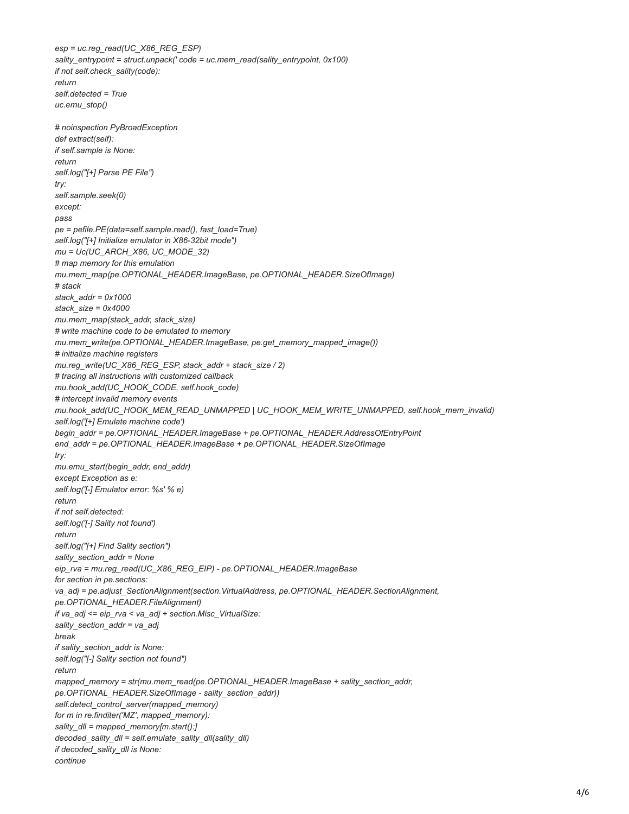*esp = uc.reg\_read(UC\_X86\_REG\_ESP) sality\_entrypoint = struct.unpack(' code = uc.mem\_read(sality\_entrypoint, 0x100) if not self.check\_sality(code): return self.detected = True uc.emu\_stop() # noinspection PyBroadException def extract(self): if self.sample is None: return self.log("[+] Parse PE File") try: self.sample.seek(0) except: pass pe = pefile.PE(data=self.sample.read(), fast\_load=True) self.log("[+] Initialize emulator in X86-32bit mode") mu = Uc(UC\_ARCH\_X86, UC\_MODE\_32) # map memory for this emulation mu.mem\_map(pe.OPTIONAL\_HEADER.ImageBase, pe.OPTIONAL\_HEADER.SizeOfImage) # stack stack\_addr = 0x1000 stack\_size = 0x4000 mu.mem\_map(stack\_addr, stack\_size) # write machine code to be emulated to memory mu.mem\_write(pe.OPTIONAL\_HEADER.ImageBase, pe.get\_memory\_mapped\_image()) # initialize machine registers mu.reg\_write(UC\_X86\_REG\_ESP, stack\_addr + stack\_size / 2) # tracing all instructions with customized callback mu.hook\_add(UC\_HOOK\_CODE, self.hook\_code) # intercept invalid memory events mu.hook\_add(UC\_HOOK\_MEM\_READ\_UNMAPPED | UC\_HOOK\_MEM\_WRITE\_UNMAPPED, self.hook\_mem\_invalid) self.log('[+] Emulate machine code') begin\_addr = pe.OPTIONAL\_HEADER.ImageBase + pe.OPTIONAL\_HEADER.AddressOfEntryPoint end\_addr = pe.OPTIONAL\_HEADER.ImageBase + pe.OPTIONAL\_HEADER.SizeOfImage try: mu.emu\_start(begin\_addr, end\_addr) except Exception as e: self.log('[-] Emulator error: %s' % e) return if not self.detected: self.log('[-] Sality not found') return self.log("[+] Find Sality section") sality\_section\_addr = None eip\_rva = mu.reg\_read(UC\_X86\_REG\_EIP) - pe.OPTIONAL\_HEADER.ImageBase for section in pe.sections: va\_adj = pe.adjust\_SectionAlignment(section.VirtualAddress, pe.OPTIONAL\_HEADER.SectionAlignment, pe.OPTIONAL\_HEADER.FileAlignment) if va\_adj <= eip\_rva < va\_adj + section.Misc\_VirtualSize: sality\_section\_addr = va\_adj break if sality\_section\_addr is None: self.log("[-] Sality section not found") return mapped\_memory = str(mu.mem\_read(pe.OPTIONAL\_HEADER.ImageBase + sality\_section\_addr, pe.OPTIONAL\_HEADER.SizeOfImage - sality\_section\_addr)) self.detect\_control\_server(mapped\_memory) for m in re.finditer('MZ', mapped\_memory): sality\_dll = mapped\_memory[m.start():] decoded\_sality\_dll = self.emulate\_sality\_dll(sality\_dll) if decoded\_sality\_dll is None: continue*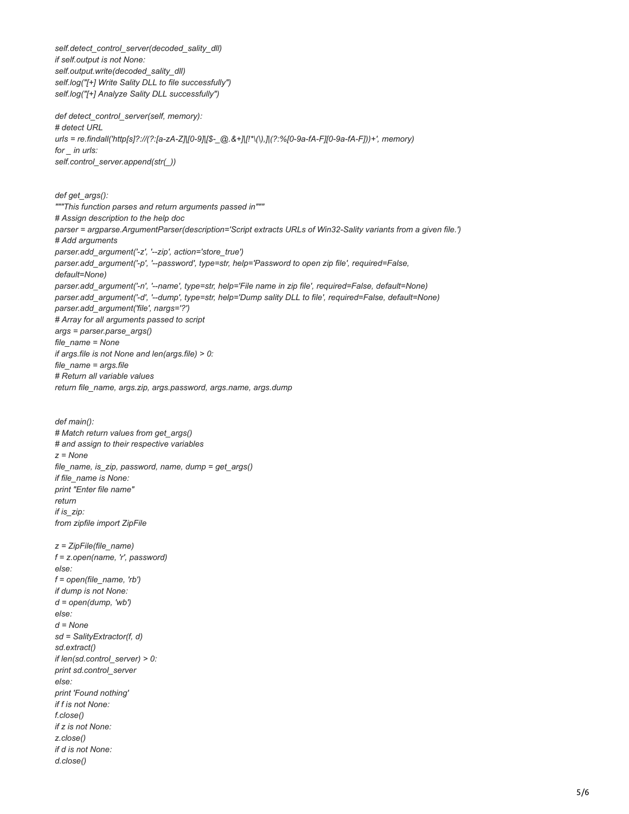*self.detect\_control\_server(decoded\_sality\_dll) if self.output is not None: self.output.write(decoded\_sality\_dll) self.log("[+] Write Sality DLL to file successfully") self.log("[+] Analyze Sality DLL successfully") def detect\_control\_server(self, memory): # detect URL urls = re.findall('http[s]?://(?:[a-zA-Z]|[0-9]|[\$-\_@.&+]|[!\*\(\),]|(?:%[0-9a-fA-F][0-9a-fA-F]))+', memory) for \_ in urls: self.control\_server.append(str(\_)) def get\_args(): """This function parses and return arguments passed in""" # Assign description to the help doc parser = argparse.ArgumentParser(description='Script extracts URLs of Win32-Sality variants from a given file.') # Add arguments parser.add\_argument('-z', '--zip', action='store\_true') parser.add\_argument('-p', '--password', type=str, help='Password to open zip file', required=False, default=None) parser.add\_argument('-n', '--name', type=str, help='File name in zip file', required=False, default=None) parser.add\_argument('-d', '--dump', type=str, help='Dump sality DLL to file', required=False, default=None) parser.add\_argument('file', nargs='?') # Array for all arguments passed to script args = parser.parse\_args() file\_name = None if args.file is not None and len(args.file) > 0: file\_name = args.file # Return all variable values return file\_name, args.zip, args.password, args.name, args.dump def main(): # Match return values from get\_args() # and assign to their respective variables z = None file\_name, is\_zip, password, name, dump = get\_args() if file\_name is None: print "Enter file name" return if is\_zip: from zipfile import ZipFile z = ZipFile(file\_name) f = z.open(name, 'r', password) else: f = open(file\_name, 'rb') if dump is not None: d = open(dump, 'wb') else: d = None sd = SalityExtractor(f, d) sd.extract() if len(sd.control\_server) > 0: print sd.control\_server else: print 'Found nothing' if f is not None: f.close()*

*if z is not None: z.close() if d is not None: d.close()*